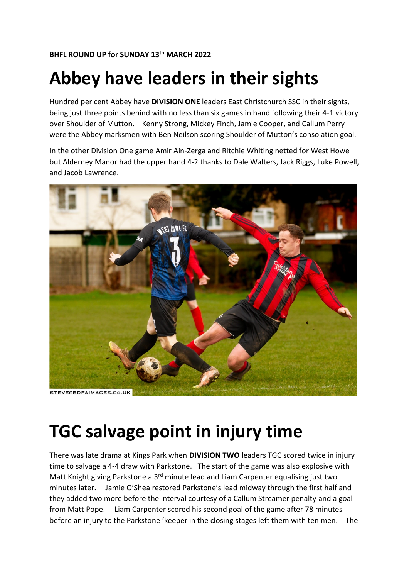#### **BHFL ROUND UP for SUNDAY 13 th MARCH 2022**

## **Abbey have leaders in their sights**

Hundred per cent Abbey have **DIVISION ONE** leaders East Christchurch SSC in their sights, being just three points behind with no less than six games in hand following their 4-1 victory over Shoulder of Mutton. Kenny Strong, Mickey Finch, Jamie Cooper, and Callum Perry were the Abbey marksmen with Ben Neilson scoring Shoulder of Mutton's consolation goal.

In the other Division One game Amir Ain-Zerga and Ritchie Whiting netted for West Howe but Alderney Manor had the upper hand 4-2 thanks to Dale Walters, Jack Riggs, Luke Powell, and Jacob Lawrence.



**TGC salvage point in injury time**

There was late drama at Kings Park when **DIVISION TWO** leaders TGC scored twice in injury time to salvage a 4-4 draw with Parkstone. The start of the game was also explosive with Matt Knight giving Parkstone a 3<sup>rd</sup> minute lead and Liam Carpenter equalising just two minutes later. Jamie O'Shea restored Parkstone's lead midway through the first half and they added two more before the interval courtesy of a Callum Streamer penalty and a goal from Matt Pope. Liam Carpenter scored his second goal of the game after 78 minutes before an injury to the Parkstone 'keeper in the closing stages left them with ten men. The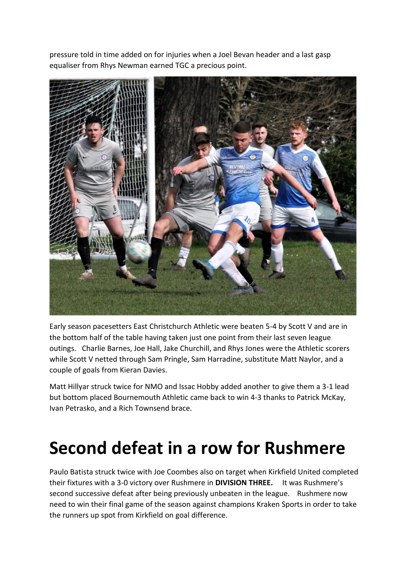pressure told in time added on for injuries when a Joel Bevan header and a last gasp equaliser from Rhys Newman earned TGC a precious point.



Early season pacesetters East Christchurch Athletic were beaten 5-4 by Scott V and are in the bottom half of the table having taken just one point from their last seven league outings. Charlie Barnes, Joe Hall, Jake Churchill, and Rhys Jones were the Athletic scorers while Scott V netted through Sam Pringle, Sam Harradine, substitute Matt Naylor, and a couple of goals from Kieran Davies.

Matt Hillyar struck twice for NMO and Issac Hobby added another to give them a 3-1 lead but bottom placed Bournemouth Athletic came back to win 4-3 thanks to Patrick McKay, Ivan Petrasko, and a Rich Townsend brace.

## **Second defeat in a row for Rushmere**

Paulo Batista struck twice with Joe Coombes also on target when Kirkfield United completed their fixtures with a 3-0 victory over Rushmere in **DIVISION THREE.** It was Rushmere's second successive defeat after being previously unbeaten in the league. Rushmere now need to win their final game of the season against champions Kraken Sports in order to take the runners up spot from Kirkfield on goal difference.